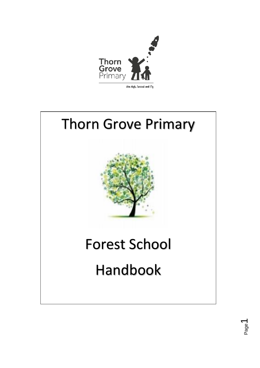



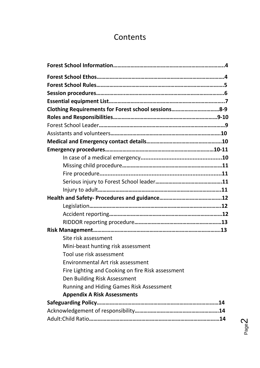# **Contents**

| Clothing Requirements for Forest school sessions8-9<br>Site risk assessment<br>Mini-beast hunting risk assessment<br>Tool use risk assessment<br>Environmental Art risk assessment<br>Fire Lighting and Cooking on fire Risk assessment<br>Den Building Risk Assessment<br><b>Running and Hiding Games Risk Assessment</b><br><b>Appendix A Risk Assessments</b> |  |
|------------------------------------------------------------------------------------------------------------------------------------------------------------------------------------------------------------------------------------------------------------------------------------------------------------------------------------------------------------------|--|
|                                                                                                                                                                                                                                                                                                                                                                  |  |
|                                                                                                                                                                                                                                                                                                                                                                  |  |
|                                                                                                                                                                                                                                                                                                                                                                  |  |
|                                                                                                                                                                                                                                                                                                                                                                  |  |
|                                                                                                                                                                                                                                                                                                                                                                  |  |
|                                                                                                                                                                                                                                                                                                                                                                  |  |
|                                                                                                                                                                                                                                                                                                                                                                  |  |
|                                                                                                                                                                                                                                                                                                                                                                  |  |
|                                                                                                                                                                                                                                                                                                                                                                  |  |
|                                                                                                                                                                                                                                                                                                                                                                  |  |
|                                                                                                                                                                                                                                                                                                                                                                  |  |
|                                                                                                                                                                                                                                                                                                                                                                  |  |
|                                                                                                                                                                                                                                                                                                                                                                  |  |
|                                                                                                                                                                                                                                                                                                                                                                  |  |
|                                                                                                                                                                                                                                                                                                                                                                  |  |
|                                                                                                                                                                                                                                                                                                                                                                  |  |
|                                                                                                                                                                                                                                                                                                                                                                  |  |
|                                                                                                                                                                                                                                                                                                                                                                  |  |
|                                                                                                                                                                                                                                                                                                                                                                  |  |
|                                                                                                                                                                                                                                                                                                                                                                  |  |
|                                                                                                                                                                                                                                                                                                                                                                  |  |
|                                                                                                                                                                                                                                                                                                                                                                  |  |
|                                                                                                                                                                                                                                                                                                                                                                  |  |
|                                                                                                                                                                                                                                                                                                                                                                  |  |
|                                                                                                                                                                                                                                                                                                                                                                  |  |
|                                                                                                                                                                                                                                                                                                                                                                  |  |
|                                                                                                                                                                                                                                                                                                                                                                  |  |
|                                                                                                                                                                                                                                                                                                                                                                  |  |
|                                                                                                                                                                                                                                                                                                                                                                  |  |
|                                                                                                                                                                                                                                                                                                                                                                  |  |
|                                                                                                                                                                                                                                                                                                                                                                  |  |

Page  $\mathbf{\Omega}$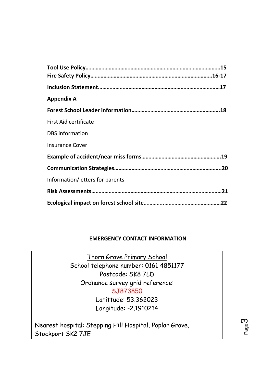| <b>Appendix A</b>               |
|---------------------------------|
|                                 |
| <b>First Aid certificate</b>    |
| <b>DBS</b> information          |
| <b>Insurance Cover</b>          |
|                                 |
|                                 |
| Information/letters for parents |
|                                 |
|                                 |

# **EMERGENCY CONTACT INFORMATION**

Thorn Grove Primary School School telephone number: 0161 4851177 Postcode: SK8 7LD Ordnance survey grid reference: SJ873850 Latittude: 53.362023 Longitude: -2.1910214

Nearest hospital: Stepping Hill Hospital, Poplar Grove, Stockport SK2 7JE

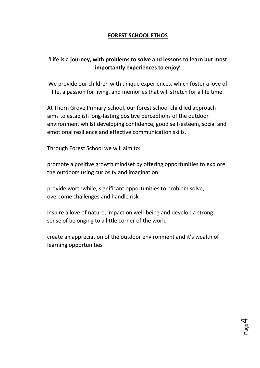# **FOREST SCHOOL ETHOS**

# **'Life is a journey, with problems to solve and lessons to learn but most importantly experiences to enjoy'**

We provide our children with unique experiences, which foster a love of life, a passion for living, and memories that will stretch for a life time.

At Thorn Grove Primary School, our forest school child led approach aims to establish long-lasting positive perceptions of the outdoor environment whilst developing confidence, good self-esteem, social and emotional resilience and effective communication skills.

Through Forest School we will aim to:

promote a positive growth mindset by offering opportunities to explore the outdoors using curiosity and imagination

provide worthwhile, significant opportunities to problem solve, overcome challenges and handle risk

inspire a love of nature, impact on well-being and develop a strong sense of belonging to a little corner of the world

create an appreciation of the outdoor environment and it's wealth of learning opportunities

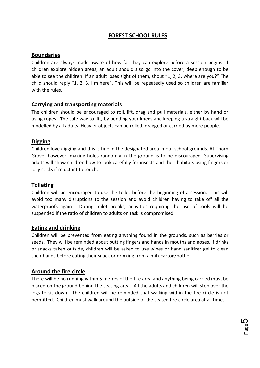# **FOREST SCHOOL RULES**

# **Boundaries**

Children are always made aware of how far they can explore before a session begins. If children explore hidden areas, an adult should also go into the cover, deep enough to be able to see the children. If an adult loses sight of them, shout "1, 2, 3, where are you?" The child should reply "1, 2, 3, I'm here". This will be repeatedly used so children are familiar with the rules.

# **Carrying and transporting materials**

The children should be encouraged to roll, lift, drag and pull materials, either by hand or using ropes. The safe way to lift, by bending your knees and keeping a straight back will be modelled by all adults. Heavier objects can be rolled, dragged or carried by more people.

# **Digging**

Children love digging and this is fine in the designated area in our school grounds. At Thorn Grove, however, making holes randomly in the ground is to be discouraged. Supervising adults will show children how to look carefully for insects and their habitats using fingers or lolly sticks if reluctant to touch.

# **Toileting**

Children will be encouraged to use the toilet before the beginning of a session. This will avoid too many disruptions to the session and avoid children having to take off all the waterproofs again! During toilet breaks, activities requiring the use of tools will be suspended if the ratio of children to adults on task is compromised.

# **Eating and drinking**

Children will be prevented from eating anything found in the grounds, such as berries or seeds. They will be reminded about putting fingers and hands in mouths and noses. If drinks or snacks taken outside, children will be asked to use wipes or hand sanitizer gel to clean their hands before eating their snack or drinking from a milk carton/bottle.

# **Around the fire circle**

There will be no running within 5 metres of the fire area and anything being carried must be placed on the ground behind the seating area. All the adults and children will step over the logs to sit down. The children will be reminded that walking within the fire circle is not permitted. Children must walk around the outside of the seated fire circle area at all times.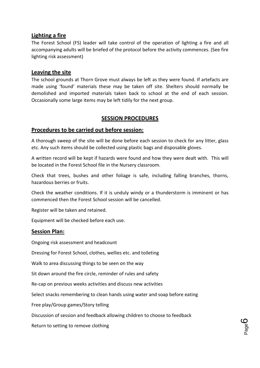# **Lighting a fire**

The Forest School (FS) leader will take control of the operation of lighting a fire and all accompanying adults will be briefed of the protocol before the activity commences. (See fire lighting risk assessment)

### **Leaving the site**

The school grounds at Thorn Grove must always be left as they were found. If artefacts are made using 'found' materials these may be taken off site. Shelters should normally be demolished and imported materials taken back to school at the end of each session. Occasionally some large items may be left tidily for the next group.

# **SESSION PROCEDURES**

# **Procedures to be carried out before session:**

A thorough sweep of the site will be done before each session to check for any litter, glass etc. Any such items should be collected using plastic bags and disposable gloves.

A written record will be kept if hazards were found and how they were dealt with. This will be located in the Forest School file in the Nursery classroom.

Check that trees, bushes and other foliage is safe, including falling branches, thorns, hazardous berries or fruits.

Check the weather conditions. If it is unduly windy or a thunderstorm is imminent or has commenced then the Forest School session will be cancelled.

Register will be taken and retained.

Equipment will be checked before each use.

# **Session Plan:**

Ongoing risk assessment and headcount

Dressing for Forest School, clothes, wellies etc. and toileting

Walk to area discussing things to be seen on the way

Sit down around the fire circle, reminder of rules and safety

Re-cap on previous weeks activities and discuss new activities

Select snacks remembering to clean hands using water and soap before eating

Free play/Group games/Story telling

Discussion of session and feedback allowing children to choose to feedback

Return to setting to remove clothing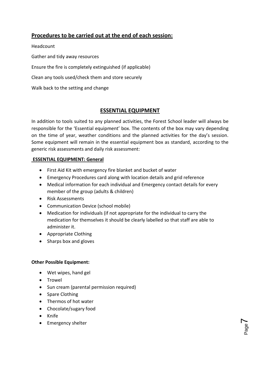# **Procedures to be carried out at the end of each session:**

Headcount

Gather and tidy away resources

Ensure the fire is completely extinguished (if applicable)

Clean any tools used/check them and store securely

Walk back to the setting and change

# **ESSENTIAL EQUIPMENT**

In addition to tools suited to any planned activities, the Forest School leader will always be responsible for the 'Essential equipment' box. The contents of the box may vary depending on the time of year, weather conditions and the planned activities for the day's session. Some equipment will remain in the essential equipment box as standard, according to the generic risk assessments and daily risk assessment:

#### **ESSENTIAL EQUIPMENT: General**

- First Aid Kit with emergency fire blanket and bucket of water
- Emergency Procedures card along with location details and grid reference
- Medical information for each individual and Emergency contact details for every member of the group (adults & children)
- Risk Assessments
- Communication Device (school mobile)
- Medication for individuals (if not appropriate for the individual to carry the medication for themselves it should be clearly labelled so that staff are able to administer it.

Page  $\blacktriangleright$ 

- Appropriate Clothing
- Sharps box and gloves

#### **Other Possible Equipment:**

- Wet wipes, hand gel
- Trowel
- Sun cream (parental permission required)
- Spare Clothing
- Thermos of hot water
- Chocolate/sugary food
- Knife
- Emergency shelter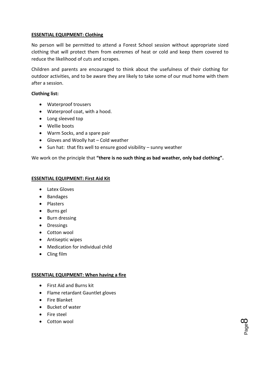#### **ESSENTIAL EQUIPMENT: Clothing**

No person will be permitted to attend a Forest School session without appropriate sized clothing that will protect them from extremes of heat or cold and keep them covered to reduce the likelihood of cuts and scrapes.

Children and parents are encouraged to think about the usefulness of their clothing for outdoor activities, and to be aware they are likely to take some of our mud home with them after a session.

#### **Clothing list:**

- Waterproof trousers
- Waterproof coat, with a hood.
- Long sleeved top
- Wellie boots
- Warm Socks, and a spare pair
- Gloves and Woolly hat Cold weather
- $\bullet$  Sun hat: that fits well to ensure good visibility sunny weather

We work on the principle that **"there is no such thing as bad weather, only bad clothing".** 

#### **ESSENTIAL EQUIPMENT: First Aid Kit**

- Latex Gloves
- Bandages
- Plasters
- Burns gel
- Burn dressing
- Dressings
- Cotton wool
- Antiseptic wipes
- Medication for individual child
- Cling film

#### **ESSENTIAL EQUIPMENT: When having a fire**

- First Aid and Burns kit
- Flame retardant Gauntlet gloves
- **•** Fire Blanket
- Bucket of water
- Fire steel
- Cotton wool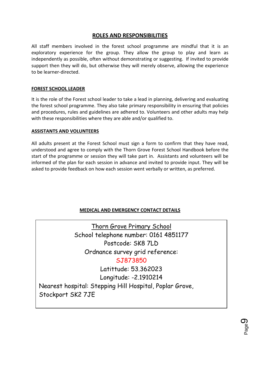# **ROLES AND RESPONSIBILITIES**

All staff members involved in the forest school programme are mindful that it is an exploratory experience for the group. They allow the group to play and learn as independently as possible, often without demonstrating or suggesting. If invited to provide support then they will do, but otherwise they will merely observe, allowing the experience to be learner-directed.

#### **FOREST SCHOOL LEADER**

It is the role of the Forest school leader to take a lead in planning, delivering and evaluating the forest school programme. They also take primary responsibility in ensuring that policies and procedures, rules and guidelines are adhered to. Volunteers and other adults may help with these responsibilities where they are able and/or qualified to.

#### **ASSISTANTS AND VOLUNTEERS**

All adults present at the Forest School must sign a form to confirm that they have read, understood and agree to comply with the Thorn Grove Forest School Handbook before the start of the programme or session they will take part in. Assistants and volunteers will be informed of the plan for each session in advance and invited to provide input. They will be asked to provide feedback on how each session went verbally or written, as preferred.

#### **MEDICAL AND EMERGENCY CONTACT DETAILS**

Thorn Grove Primary School School telephone number: 0161 4851177 Postcode: SK8 7LD Ordnance survey grid reference: SJ873850 Latittude: 53.362023 Longitude: -2.1910214 Nearest hospital: Stepping Hill Hospital, Poplar Grove, Stockport SK2 7JE

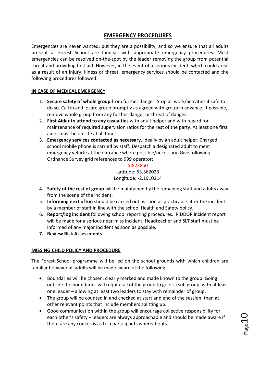# **EMERGENCY PROCEDURES**

Emergencies are never wanted, but they are a possibility, and so we ensure that all adults present at Forest School are familiar with appropriate emergency procedures. Most emergencies can be resolved on-the-spot by the leader removing the group from potential threat and providing first aid. However, in the event of a serious incident, which could arise as a result of an injury, illness or threat, emergency services should be contacted and the following procedures followed:

#### **IN CASE OF MEDICAL EMERGENCY**

- 1. **Secure safety of whole group** from further danger. Stop all work/activities if safe to do so. Call in and locate group promptly as agreed with group in advance. If possible, remove whole group from any further danger or threat of danger.
- 2. **First Aider to attend to any casualties** with adult helper and with regard for maintenance of required supervision ratios for the rest of the party. At least one first aider must be on site at all times.
- 3. **Emergency services contacted as necessary,** ideally by an adult helper. Charged school mobile phone is carried by staff. Despatch a designated adult to meet emergency vehicle at the entrance where possible/necessary. Give following Ordnance Survey grid references to 999 operator**:**

SJ873850 Latitude: 53.362023 Longitude: -2.1910214

- 4. **Safety of the rest of group** will be maintained by the remaining staff and adults away from the scene of the incident.
- 5. **Informing next of kin** should be carried out as soon as practicable after the incident by a member of staff in line with the school Health and Safety policy.
- 6. **Report/log incident** following school reporting procedures. RIDDOR incident report will be made for a serious near-miss incident. Headteacher and SLT staff must be informed of any major incident as soon as possible.
- **7. Review Risk Assessments**

#### **MISSING CHILD POLICY AND PROCEDURE**

The Forest School programme will be led on the school grounds with which children are familiar however all adults will be made aware of the following:

- Boundaries will be chosen, clearly marked and made known to the group. Going outside the boundaries will require all of the group to go or a sub group, with at least one leader – allowing at least two leaders to stay with remainder of group.
- The group will be counted in and checked at start and end of the session, then at other relevant points that include members splitting up.
- Good communication within the group will encourage collective responsibility for each other's safety – leaders are always approachable and should be made aware if there are any concerns as to a participants whereabouts.

 $\bigcup\limits_{\text{Page}}$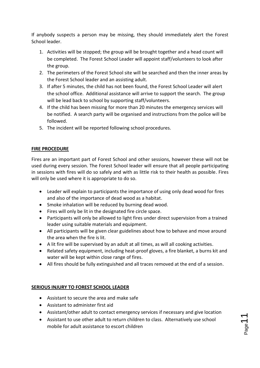If anybody suspects a person may be missing, they should immediately alert the Forest School leader.

- 1. Activities will be stopped; the group will be brought together and a head count will be completed. The Forest School Leader will appoint staff/volunteers to look after the group.
- 2. The perimeters of the Forest School site will be searched and then the inner areas by the Forest School leader and an assisting adult.
- 3. If after 5 minutes, the child has not been found, the Forest School Leader will alert the school office. Additional assistance will arrive to support the search. The group will be lead back to school by supporting staff/volunteers.
- 4. If the child has been missing for more than 20 minutes the emergency services will be notified. A search party will be organised and instructions from the police will be followed.
- 5. The incident will be reported following school procedures.

# **FIRE PROCEDURE**

Fires are an important part of Forest School and other sessions, however these will not be used during every session. The Forest School leader will ensure that all people participating in sessions with fires will do so safely and with as little risk to their health as possible. Fires will only be used where it is appropriate to do so.

- Leader will explain to participants the importance of using only dead wood for fires and also of the importance of dead wood as a habitat.
- Smoke inhalation will be reduced by burning dead wood.
- Fires will only be lit in the designated fire circle space.
- Participants will only be allowed to light fires under direct supervision from a trained leader using suitable materials and equipment.
- All participants will be given clear guidelines about how to behave and move around the area when the fire is lit.
- A lit fire will be supervised by an adult at all times, as will all cooking activities.
- Related safety equipment, including heat-proof gloves, a fire blanket, a burns kit and water will be kept within close range of fires.
- All fires should be fully extinguished and all traces removed at the end of a session.

#### **SERIOUS INJURY TO FOREST SCHOOL LEADER**

- Assistant to secure the area and make safe
- Assistant to administer first aid
- Assistant/other adult to contact emergency services if necessary and give location
- Assistant to use other adult to return children to class. Alternatively use school mobile for adult assistance to escort children

Page11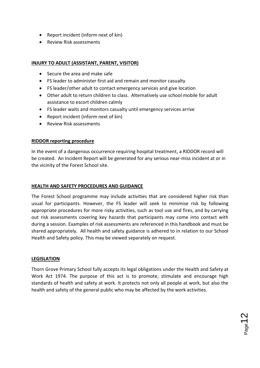- Report incident (inform next of kin)
- Review Risk assessments

# **INJURY TO ADULT (ASSISTANT, PARENT, VISITOR)**

- Secure the area and make safe
- FS leader to administer first aid and remain and monitor casualty
- FS leader/other adult to contact emergency services and give location
- Other adult to return children to class. Alternatively use school mobile for adult assistance to escort children calmly
- FS leader waits and monitors casualty until emergency services arrive
- Report incident (inform next of kin)
- Review Risk assessments

#### **RIDDOR reporting procedure**

In the event of a dangerous occurrence requiring hospital treatment, a RIDDOR record will be created. An Incident Report will be generated for any serious near-miss incident at or in the vicinity of the Forest School site.

#### **HEALTH AND SAFETY PROCEDURES AND GUIDANCE**

The Forest School programme may include activities that are considered higher risk than usual for participants. However, the FS leader will seek to minimise risk by following appropriate procedures for more risky activities, such as tool use and fires, and by carrying out risk assessments covering key hazards that participants may come into contact with during a session. Examples of risk assessments are referenced in this handbook and must be shared appropriately. All health and safety guidance is adhered to in relation to our School Health and Safety policy. This may be viewed separately on request.

#### **LEGISLATION**

Thorn Grove Primary School fully accepts its legal obligations under the Health and Safety at Work Act 1974. The purpose of this act is to promote, stimulate and encourage high standards of health and safety at work. It protects not only all people at work, but also the health and safety of the general public who may be affected by the work activities.

 $_{\mathrm{Page}}$ 12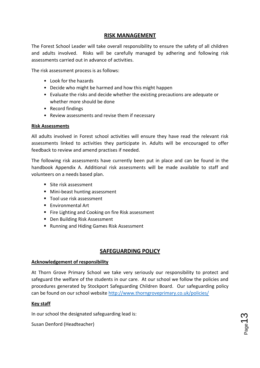# **RISK MANAGEMENT**

The Forest School Leader will take overall responsibility to ensure the safety of all children and adults involved. Risks will be carefully managed by adhering and following risk assessments carried out in advance of activities.

The risk assessment process is as follows:

- Look for the hazards
- Decide who might be harmed and how this might happen
- Evaluate the risks and decide whether the existing precautions are adequate or whether more should be done
- Record findings
- Review assessments and revise them if necessary

#### **Risk Assessments**

All adults involved in Forest school activities will ensure they have read the relevant risk assessments linked to activities they participate in. Adults will be encouraged to offer feedback to review and amend practises if needed.

The following risk assessments have currently been put in place and can be found in the handbook Appendix A. Additional risk assessments will be made available to staff and volunteers on a needs based plan.

- Site risk assessment
- **Mini-beast hunting assessment**
- Tool use risk assessment
- **Environmental Art**
- Fire Lighting and Cooking on fire Risk assessment
- Den Building Risk Assessment
- Running and Hiding Games Risk Assessment

# **SAFEGUARDING POLICY**

#### **Acknowledgement of responsibility**

At Thorn Grove Primary School we take very seriously our responsibility to protect and safeguard the welfare of the students in our care. At our school we follow the policies and procedures generated by Stockport Safeguarding Children Board. Our safeguarding policy can be found on our school website<http://www.thorngroveprimary.co.uk/policies/>

#### **Key staff**

In our school the designated safeguarding lead is:

Susan Denford (Headteacher)

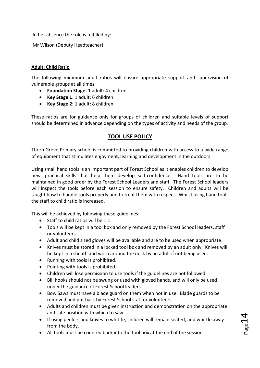In her absence the role is fulfilled by:

Mr Wilson (Deputy Headteacher)

#### **Adult: Child Ratio**

The following minimum adult ratios will ensure appropriate support and supervision of vulnerable groups at all times:

- **Foundation Stage:** 1 adult: 4 children
- **Key Stage 1**: 1 adult: 6 children
- **Key Stage 2:** 1 adult: 8 children

These ratios are for guidance only for groups of children and suitable levels of support should be determined in advance depending on the types of activity and needs of the group.

# **TOOL USE POLICY**

Thorn Grove Primary school is committed to providing children with access to a wide range of equipment that stimulates enjoyment, learning and development in the outdoors.

Using small hand tools is an important part of Forest School as it enables children to develop new, practical skills that help them develop self-confidence. Hand tools are to be maintained in good order by the Forest School Leaders and staff. The Forest School leaders will inspect the tools before each session to ensure safety. Children and adults will be taught how to handle tools properly and to treat them with respect. Whilst using hand tools the staff to child ratio is increased.

This will be achieved by following these guidelines:

- $\bullet$  Staff to child ratios will be 1:1.
- Tools will be kept in a tool box and only removed by the Forest School leaders, staff or volunteers.
- Adult and child sized gloves will be available and are to be used when appropriate.
- Knives must be stored in a locked tool box and removed by an adult only. Knives will be kept in a sheath and worn around the neck by an adult if not being used.
- Running with tools is prohibited.
- Pointing with tools is prohibited.
- Children will lose permission to use tools if the guidelines are not followed.
- Bill hooks should not be swung or used with gloved hands, and will only be used under the guidance of Forest School leaders.
- Bow Saws must have a blade guard on them when not in use. Blade guards to be removed and put back by Forest School staff or volunteers
- Adults and children must be given instruction and demonstration on the appropriate and safe position with which to saw.
- If using peelers and knives to whittle, children will remain seated, and whittle away from the body.
- All tools must be counted back into the tool box at the end of the session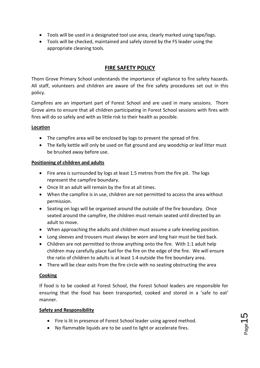- Tools will be used in a designated tool use area, clearly marked using tape/logs.
- Tools will be checked, maintained and safely stored by the FS leader using the appropriate cleaning tools.

# **FIRE SAFETY POLICY**

Thorn Grove Primary School understands the importance of vigilance to fire safety hazards. All staff, volunteers and children are aware of the fire safety procedures set out in this policy.

Campfires are an important part of Forest School and are used in many sessions. Thorn Grove aims to ensure that all children participating in Forest School sessions with fires with fires will do so safely and with as little risk to their health as possible.

### **Location**

- The campfire area will be enclosed by logs to prevent the spread of fire.
- The Kelly kettle will only be used on flat ground and any woodchip or leaf litter must be brushed away before use.

### **Positioning of children and adults**

- Fire area is surrounded by logs at least 1.5 metres from the fire pit. The logs represent the campfire boundary.
- Once lit an adult will remain by the fire at all times.
- When the campfire is in use, children are not permitted to access the area without permission.
- Seating on logs will be organised around the outside of the fire boundary. Once seated around the campfire, the children must remain seated until directed by an adult to move.
- When approaching the adults and children must assume a safe kneeling position.
- Long sleeves and trousers must always be worn and long hair must be tied back.
- Children are not permitted to throw anything onto the fire. With 1:1 adult help children may carefully place fuel for the fire on the edge of the fire. We will ensure the ratio of children to adults is at least 1:4 outside the fire boundary area.
- There will be clear exits from the fire circle with no seating obstructing the area

#### **Cooking**

If food is to be cooked at Forest School, the Forest School leaders are responsible for ensuring that the food has been transported, cooked and stored in a 'safe to eat' manner.

#### **Safety and Responsibility**

- Fire is lit in presence of Forest School leader using agreed method.
- No flammable liquids are to be used to light or accelerate fires.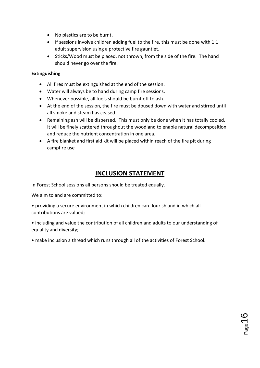- No plastics are to be burnt.
- $\bullet$  If sessions involve children adding fuel to the fire, this must be done with 1:1 adult supervision using a protective fire gauntlet.
- Sticks/Wood must be placed, not thrown, from the side of the fire. The hand should never go over the fire.

#### **Extinguishing**

- All fires must be extinguished at the end of the session.
- Water will always be to hand during camp fire sessions.
- Whenever possible, all fuels should be burnt off to ash.
- At the end of the session, the fire must be doused down with water and stirred until all smoke and steam has ceased.
- Remaining ash will be dispersed. This must only be done when it has totally cooled. It will be finely scattered throughout the woodland to enable natural decomposition and reduce the nutrient concentration in one area.
- A fire blanket and first aid kit will be placed within reach of the fire pit during campfire use

# **INCLUSION STATEMENT**

In Forest School sessions all persons should be treated equally.

We aim to and are committed to:

• providing a secure environment in which children can flourish and in which all contributions are valued;

- including and value the contribution of all children and adults to our understanding of equality and diversity;
- make inclusion a thread which runs through all of the activities of Forest School.